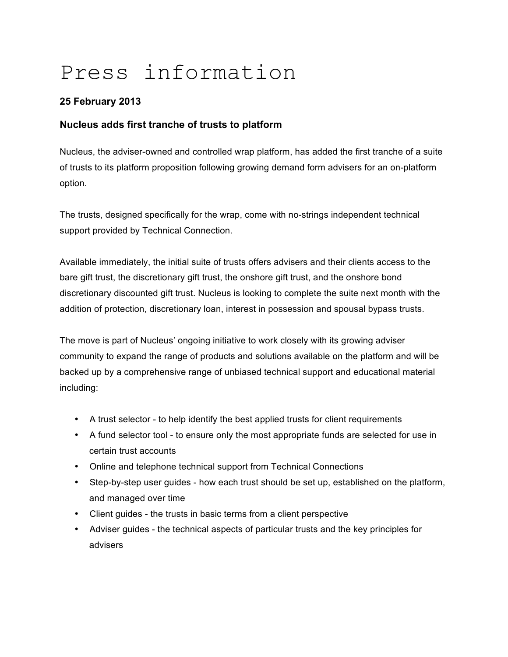# Press information

## **25 February 2013**

### **Nucleus adds first tranche of trusts to platform**

Nucleus, the adviser-owned and controlled wrap platform, has added the first tranche of a suite of trusts to its platform proposition following growing demand form advisers for an on-platform option.

The trusts, designed specifically for the wrap, come with no-strings independent technical support provided by Technical Connection.

Available immediately, the initial suite of trusts offers advisers and their clients access to the bare gift trust, the discretionary gift trust, the onshore gift trust, and the onshore bond discretionary discounted gift trust. Nucleus is looking to complete the suite next month with the addition of protection, discretionary loan, interest in possession and spousal bypass trusts.

The move is part of Nucleus' ongoing initiative to work closely with its growing adviser community to expand the range of products and solutions available on the platform and will be backed up by a comprehensive range of unbiased technical support and educational material including:

- A trust selector to help identify the best applied trusts for client requirements
- A fund selector tool to ensure only the most appropriate funds are selected for use in certain trust accounts
- Online and telephone technical support from Technical Connections
- Step-by-step user guides how each trust should be set up, established on the platform, and managed over time
- Client guides the trusts in basic terms from a client perspective
- Adviser guides the technical aspects of particular trusts and the key principles for advisers